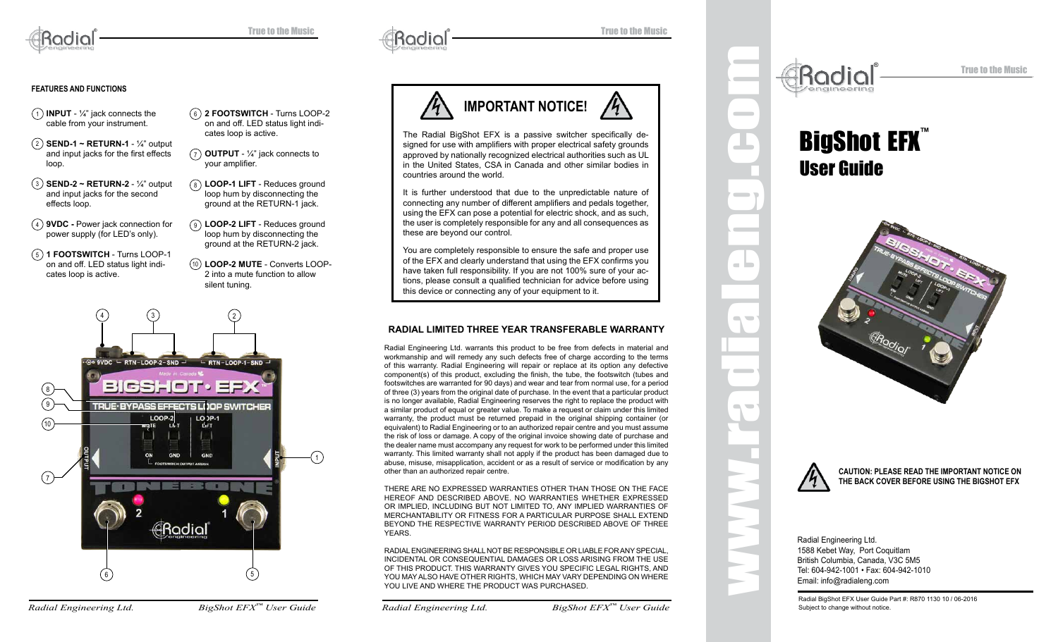

# **FEATURES AND FUNCTIONS**

- 1 **INPUT**  ¼" jack connects the cable from your instrument.
- 2 **SEND-1 ~ RETURN-1**  ¼" output and input jacks for the first effects loop.
- 3 **SEND-2 ~ RETURN-2**  ¼" output and input jacks for the second effects loop.
- 4 **9VDC** Power jack connection for power supply (for LED's only).
- **1 FOOTSWITCH** Turns LOOP-1 5 on and off. LED status light indicates loop is active.
- 6 **2 FOOTSWITCH** Turns LOOP-2 on and off. LED status light indicates loop is active.
- 7 **OUTPUT**  ¼" jack connects to your amplifier.
- 8 **LOOP-1 LIFT** Reduces ground loop hum by disconnecting the ground at the RETURN-1 jack.
- 9 **LOOP-2 LIFT** Reduces ground loop hum by disconnecting the ground at the RETURN-2 jack.
- 10 **LOOP-2 MUTE** Converts LOOP-2 into a mute function to allow silent tuning.









# User Guide





Radial Engineering Ltd. 1588 Kebet Way, Port Coquitlam British Columbia, Canada, V3C 5M5 Tel: 604-942-1001 • Fax: 604-942-1010 Email: info@radialeng.com

Radial BigShot EFX User Guide Part #: R870 1130 10 / 06-2016 Subject to change without notice.

YEARS.

other than an authorized repair centre.

countries around the world.

these are beyond our control.

**RADIAL LIMITED THREE YEAR TRANSFERABLE WARRANTY**  Radial Engineering Ltd. warrants this product to be free from defects in material and workmanship and will remedy any such defects free of charge according to the terms of this warranty. Radial Engineering will repair or replace at its option any defective component(s) of this product, excluding the finish, the tube, the footswitch (tubes and footswitches are warranted for 90 days) and wear and tear from normal use, for a period of three (3) years from the original date of purchase. In the event that a particular product is no longer available, Radial Engineering reserves the right to replace the product with a similar product of equal or greater value. To make a request or claim under this limited warranty, the product must be returned prepaid in the original shipping container (or equivalent) to Radial Engineering or to an authorized repair centre and you must assume the risk of loss or damage. A copy of the original invoice showing date of purchase and the dealer name must accompany any request for work to be performed under this limited warranty. This limited warranty shall not apply if the product has been damaged due to abuse, misuse, misapplication, accident or as a result of service or modification by any

this device or connecting any of your equipment to it.

**IMPORTANT NOTICE!** 

The Radial BigShot EFX is a passive switcher specifically designed for use with amplifiers with proper electrical safety grounds approved by nationally recognized electrical authorities such as UL in the United States, CSA in Canada and other similar bodies in

It is further understood that due to the unpredictable nature of connecting any number of different amplifiers and pedals together, using the EFX can pose a potential for electric shock, and as such, the user is completely responsible for any and all consequences as

You are completely responsible to ensure the safe and proper use of the EFX and clearly understand that using the EFX confirms you have taken full responsibility. If you are not 100% sure of your actions, please consult a qualified technician for advice before using

THERE ARE NO EXPRESSED WARRANTIES OTHER THAN THOSE ON THE FACE HEREOF AND DESCRIBED ABOVE. NO WARRANTIES WHETHER EXPRESSED OR IMPLIED, INCLUDING BUT NOT LIMITED TO, ANY IMPLIED WARRANTIES OF MERCHANTABILITY OR FITNESS FOR A PARTICULAR PURPOSE SHALL EXTEND BEYOND THE RESPECTIVE WARRANTY PERIOD DESCRIBED ABOVE OF THREE

RADIAL ENGINEERING SHALL NOT BE RESPONSIBLE OR LIABLE FOR ANY SPECIAL, INCIDENTAL OR CONSEQUENTIAL DAMAGES OR LOSS ARISING FROM THE USE OF THIS PRODUCT. THIS WARRANTY GIVES YOU SPECIFIC LEGAL RIGHTS, AND YOU MAY ALSO HAVE OTHER RIGHTS, WHICH MAY VARY DEPENDING ON WHERE

YOU LIVE AND WHERE THE PRODUCT WAS PURCHASED.

*BigShot EFX™ BigShot EFX Radial Engineering Ltd. User Guide ™ Radial Engineering Ltd. User Guide*